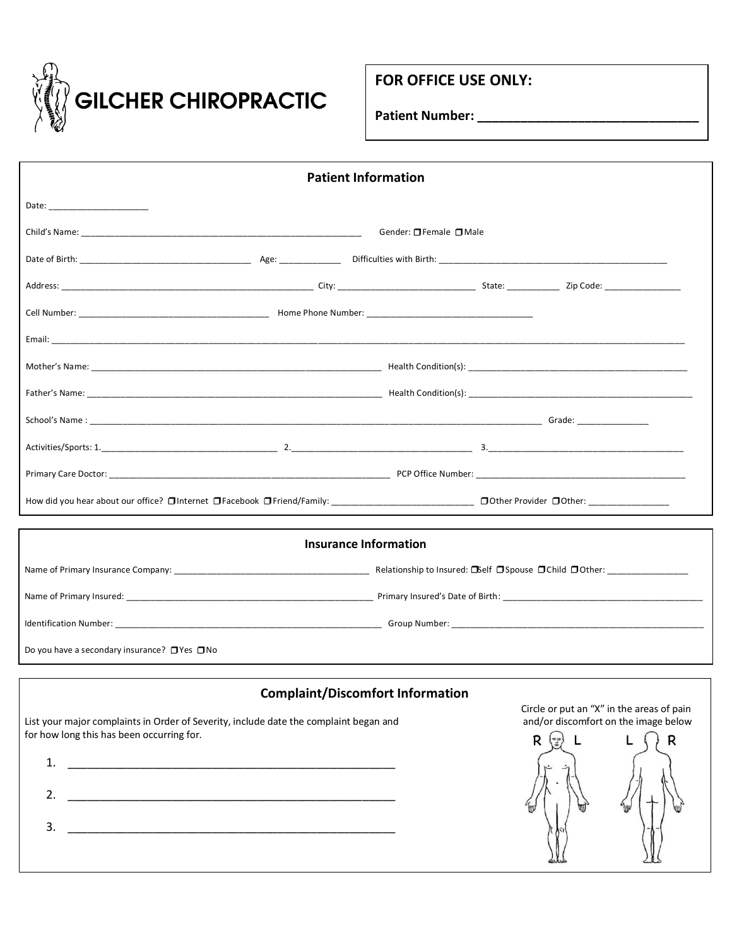

## **FOR OFFICE USE ONLY:**

**Patient Number: \_\_\_\_\_\_\_\_\_\_\_\_\_\_\_\_\_\_\_\_\_\_\_\_\_\_\_\_\_\_\_**

| <b>Patient Information</b>                                                                                                                                                                                                     |                                                                                                           |  |  |  |
|--------------------------------------------------------------------------------------------------------------------------------------------------------------------------------------------------------------------------------|-----------------------------------------------------------------------------------------------------------|--|--|--|
|                                                                                                                                                                                                                                |                                                                                                           |  |  |  |
|                                                                                                                                                                                                                                | Gender: □ Female □ Male                                                                                   |  |  |  |
|                                                                                                                                                                                                                                |                                                                                                           |  |  |  |
|                                                                                                                                                                                                                                |                                                                                                           |  |  |  |
|                                                                                                                                                                                                                                |                                                                                                           |  |  |  |
|                                                                                                                                                                                                                                |                                                                                                           |  |  |  |
|                                                                                                                                                                                                                                |                                                                                                           |  |  |  |
|                                                                                                                                                                                                                                |                                                                                                           |  |  |  |
| School's Name: Grade: Grade: Grade: Grade: Grade: Grade: Grade: Grade: Grade: Grade: Grade: Grade: Grade: Grade: Grade: Grade: Grade: Grade: Grade: Grade: Grade: Grade: Grade: Grade: Grade: Grade: Grade: Grade: Grade: Grad |                                                                                                           |  |  |  |
|                                                                                                                                                                                                                                |                                                                                                           |  |  |  |
|                                                                                                                                                                                                                                |                                                                                                           |  |  |  |
|                                                                                                                                                                                                                                |                                                                                                           |  |  |  |
| <b>Insurance Information</b>                                                                                                                                                                                                   |                                                                                                           |  |  |  |
|                                                                                                                                                                                                                                |                                                                                                           |  |  |  |
|                                                                                                                                                                                                                                |                                                                                                           |  |  |  |
|                                                                                                                                                                                                                                |                                                                                                           |  |  |  |
| Do you have a secondary insurance? $\Box$ Yes $\Box$ No                                                                                                                                                                        |                                                                                                           |  |  |  |
|                                                                                                                                                                                                                                |                                                                                                           |  |  |  |
| <b>Complaint/Discomfort Information</b><br>List your major complaints in Order of Severity, include date the complaint began and<br>for how long this has been occurring for.<br>1.<br>2.<br>3.                                | Circle or put an "X" in the areas of pain<br>and/or discomfort on the image below<br>$R(\mathbb{F})$<br>R |  |  |  |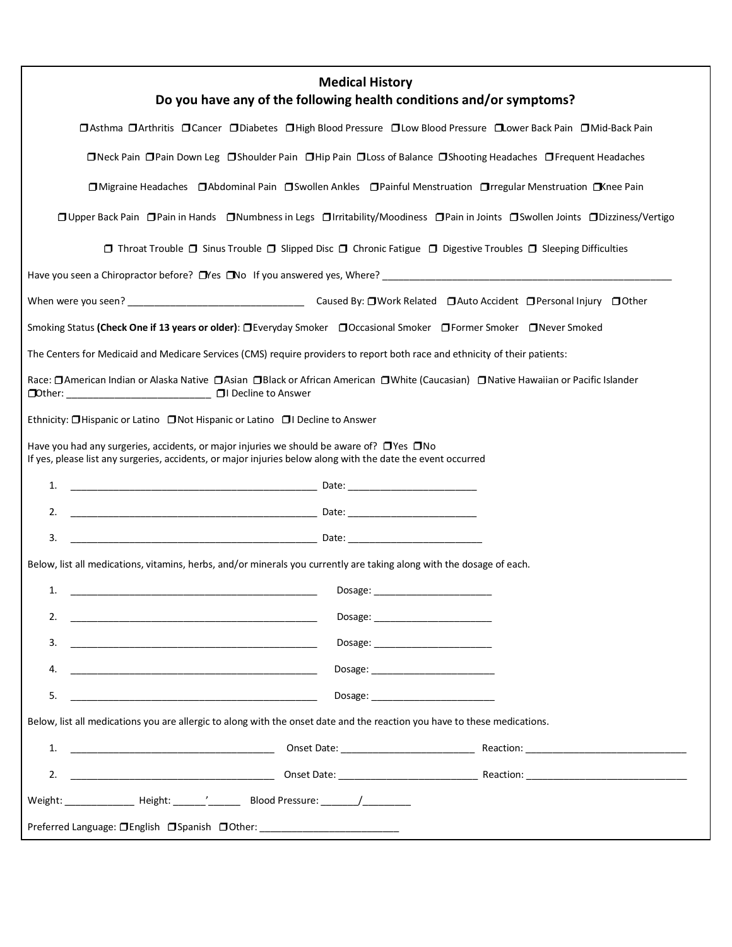| <b>Medical History</b><br>Do you have any of the following health conditions and/or symptoms?                                                                                                                                   |  |  |  |
|---------------------------------------------------------------------------------------------------------------------------------------------------------------------------------------------------------------------------------|--|--|--|
| □ Asthma □ Arthritis □ Cancer □ Diabetes □ High Blood Pressure □ Low Blood Pressure □ Lower Back Pain □ Mid-Back Pain                                                                                                           |  |  |  |
| □Neck Pain □Pain Down Leg □Shoulder Pain □Hip Pain □Loss of Balance □Shooting Headaches □Frequent Headaches                                                                                                                     |  |  |  |
| □ Migraine Headaches □ Abdominal Pain □ Swollen Ankles □ Painful Menstruation □ rregular Menstruation □ Knee Pain                                                                                                               |  |  |  |
| □ Upper Back Pain □ Pain in Hands □ Numbness in Legs □ Irritability/Moodiness □ Pain in Joints □ Swollen Joints □ Dizziness/Vertigo                                                                                             |  |  |  |
| $\Box$ Throat Trouble $\Box$ Sinus Trouble $\Box$ Slipped Disc $\Box$ Chronic Fatigue $\Box$ Digestive Troubles $\Box$ Sleeping Difficulties                                                                                    |  |  |  |
| Have you seen a Chiropractor before? Lives Live is to require the series where?<br>The second version of the series where the series where the series where the series where the series where the series where the series where |  |  |  |
|                                                                                                                                                                                                                                 |  |  |  |
| Smoking Status (Check One if 13 years or older): □Everyday Smoker □Occasional Smoker □Former Smoker □Never Smoked                                                                                                               |  |  |  |
| The Centers for Medicaid and Medicare Services (CMS) require providers to report both race and ethnicity of their patients:                                                                                                     |  |  |  |
| Race: □ American Indian or Alaska Native □ Asian □ Black or African American □ White (Caucasian) □ Native Hawaiian or Pacific Islander<br>□Other: _____________________________ □ Decline to Answer                             |  |  |  |
| Ethnicity: □Hispanic or Latino □Not Hispanic or Latino □I Decline to Answer                                                                                                                                                     |  |  |  |
| Have you had any surgeries, accidents, or major injuries we should be aware of? $\Box$ Yes $\Box$ No<br>If yes, please list any surgeries, accidents, or major injuries below along with the date the event occurred            |  |  |  |
| 1.                                                                                                                                                                                                                              |  |  |  |
| 2.                                                                                                                                                                                                                              |  |  |  |
| 3.                                                                                                                                                                                                                              |  |  |  |
| Below, list all medications, vitamins, herbs, and/or minerals you currently are taking along with the dosage of each.                                                                                                           |  |  |  |
| 1.<br><u> 1989 - Johann Harry Harry Harry Harry Harry Harry Harry Harry Harry Harry Harry Harry Harry Harry Harry Harry</u>                                                                                                     |  |  |  |
| 2.<br><u> 1989 - Johann Barn, fransk politik (f. 1989)</u>                                                                                                                                                                      |  |  |  |
| 3.                                                                                                                                                                                                                              |  |  |  |
| 4.                                                                                                                                                                                                                              |  |  |  |
| 5.                                                                                                                                                                                                                              |  |  |  |
| Below, list all medications you are allergic to along with the onset date and the reaction you have to these medications.                                                                                                       |  |  |  |
|                                                                                                                                                                                                                                 |  |  |  |
| 2.                                                                                                                                                                                                                              |  |  |  |
| Weight: __________________ Height: _______'___________ Blood Pressure: _______/____________                                                                                                                                     |  |  |  |
| Preferred Language: OEnglish OSpanish OOther: __________________________________                                                                                                                                                |  |  |  |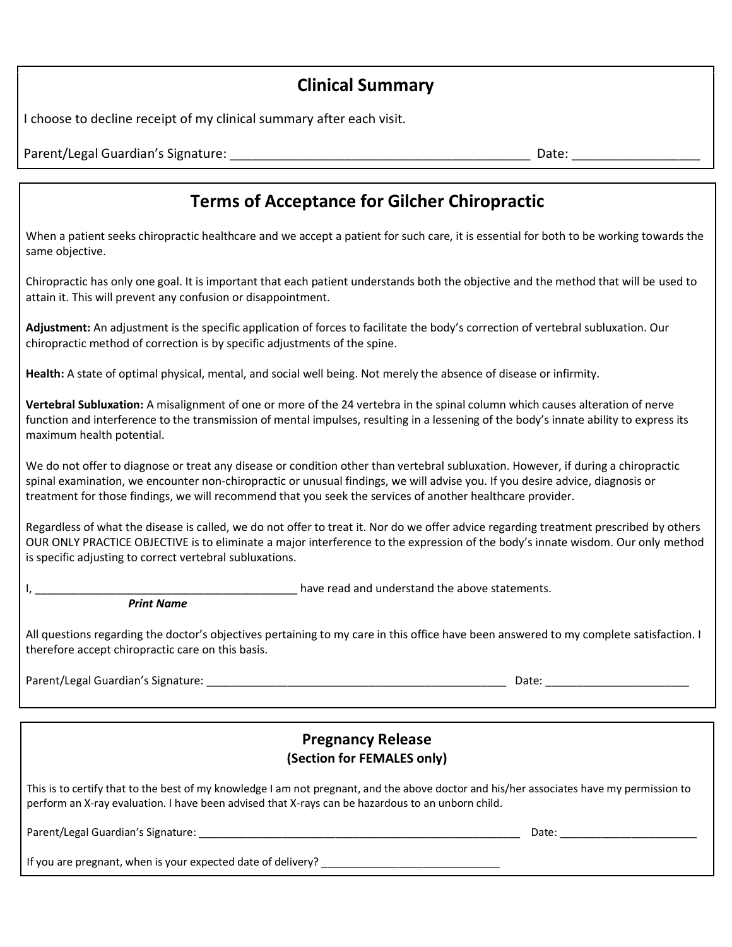# **Clinical Summary**

I choose to decline receipt of my clinical summary after each visit.

Parent/Legal Guardian's Signature: <br>
and the contract of the contract of the contract of the Date: and Date: contract of the contract of the contract of the contract of the contract of the contract of the contract of the c

# **Terms of Acceptance for Gilcher Chiropractic**

When a patient seeks chiropractic healthcare and we accept a patient for such care, it is essential for both to be working towards the same objective.

Chiropractic has only one goal. It is important that each patient understands both the objective and the method that will be used to attain it. This will prevent any confusion or disappointment.

**Adjustment:** An adjustment is the specific application of forces to facilitate the body's correction of vertebral subluxation. Our chiropractic method of correction is by specific adjustments of the spine.

**Health:** A state of optimal physical, mental, and social well being. Not merely the absence of disease or infirmity.

**Vertebral Subluxation:** A misalignment of one or more of the 24 vertebra in the spinal column which causes alteration of nerve function and interference to the transmission of mental impulses, resulting in a lessening of the body's innate ability to express its maximum health potential.

We do not offer to diagnose or treat any disease or condition other than vertebral subluxation. However, if during a chiropractic spinal examination, we encounter non-chiropractic or unusual findings, we will advise you. If you desire advice, diagnosis or treatment for those findings, we will recommend that you seek the services of another healthcare provider.

Regardless of what the disease is called, we do not offer to treat it. Nor do we offer advice regarding treatment prescribed by others OUR ONLY PRACTICE OBJECTIVE is to eliminate a major interference to the expression of the body's innate wisdom. Our only method is specific adjusting to correct vertebral subluxations.

I, the contract of the statements of the statements of the above statements.

*Print Name*

All questions regarding the doctor's objectives pertaining to my care in this office have been answered to my complete satisfaction. I therefore accept chiropractic care on this basis.

Parent/Legal Guardian's Signature: \_\_\_\_\_\_\_\_\_\_\_\_\_\_\_\_\_\_\_\_\_\_\_\_\_\_\_\_\_\_\_\_\_\_\_\_\_\_\_\_\_\_\_\_\_\_\_\_ Date: \_\_\_\_\_\_\_\_\_\_\_\_\_\_\_\_\_\_\_\_\_\_\_

## **Pregnancy Release (Section for FEMALES only)**

This is to certify that to the best of my knowledge I am not pregnant, and the above doctor and his/her associates have my permission to perform an X-ray evaluation. I have been advised that X-rays can be hazardous to an unborn child.

Parent/Legal Guardian's Signature: \_\_\_\_\_\_\_\_\_\_\_\_\_\_\_\_\_\_\_\_\_\_\_\_\_\_\_\_\_\_\_\_\_\_\_\_\_\_\_\_\_\_\_\_\_\_\_\_\_\_\_\_\_\_ Date: \_\_\_\_\_\_\_\_\_\_\_\_\_\_\_\_\_\_\_\_\_\_\_

If you are pregnant, when is your expected date of delivery? \_\_\_\_\_\_\_\_\_\_\_\_\_\_\_\_\_\_\_\_\_\_\_\_\_\_\_\_\_\_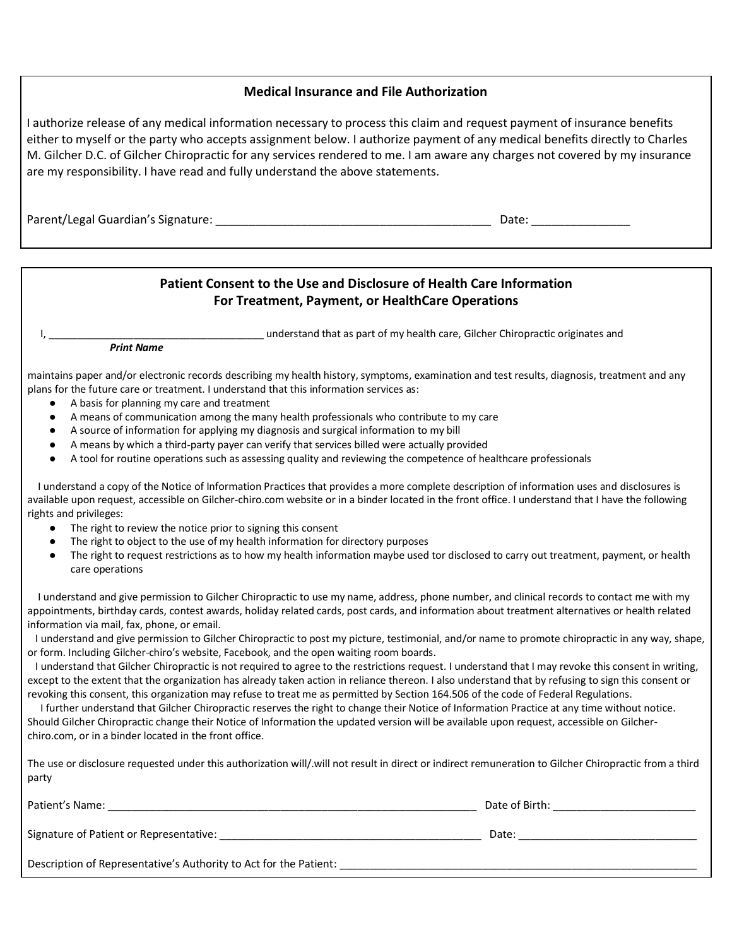#### **Medical Insurance and File Authorization**

I authorize release of any medical information necessary to process this claim and request payment of insurance benefits either to myself or the party who accepts assignment below. I authorize payment of any medical benefits directly to Charles M. Gilcher D.C. of Gilcher Chiropractic for any services rendered to me. I am aware any charges not covered by my insurance are my responsibility. I have read and fully understand the above statements.

Parent/Legal Guardian's Signature: \_\_\_\_\_\_\_\_\_\_\_\_\_\_\_\_\_\_\_\_\_\_\_\_\_\_\_\_\_\_\_\_\_\_\_\_\_\_\_\_\_\_ Date: \_\_\_\_\_\_\_\_\_\_\_\_\_\_\_

#### **Patient Consent to the Use and Disclosure of Health Care Information For Treatment, Payment, or HealthCare Operations**

I, understand that as part of my health care, Gilcher Chiropractic originates and

*Print Name*

maintains paper and/or electronic records describing my health history, symptoms, examination and test results, diagnosis, treatment and any plans for the future care or treatment. I understand that this information services as:

- A basis for planning my care and treatment
- A means of communication among the many health professionals who contribute to my care
- A source of information for applying my diagnosis and surgical information to my bill
- A means by which a third-party payer can verify that services billed were actually provided
- A tool for routine operations such as assessing quality and reviewing the competence of healthcare professionals

 I understand a copy of the Notice of Information Practices that provides a more complete description of information uses and disclosures is available upon request, accessible on Gilcher-chiro.com website or in a binder located in the front office. I understand that I have the following rights and privileges:

- The right to review the notice prior to signing this consent
- The right to object to the use of my health information for directory purposes
- The right to request restrictions as to how my health information maybe used tor disclosed to carry out treatment, payment, or health care operations

 I understand and give permission to Gilcher Chiropractic to use my name, address, phone number, and clinical records to contact me with my appointments, birthday cards, contest awards, holiday related cards, post cards, and information about treatment alternatives or health related information via mail, fax, phone, or email.

 I understand and give permission to Gilcher Chiropractic to post my picture, testimonial, and/or name to promote chiropractic in any way, shape, or form. Including Gilcher-chiro's website, Facebook, and the open waiting room boards.

 I understand that Gilcher Chiropractic is not required to agree to the restrictions request. I understand that I may revoke this consent in writing, except to the extent that the organization has already taken action in reliance thereon. I also understand that by refusing to sign this consent or revoking this consent, this organization may refuse to treat me as permitted by Section 164.506 of the code of Federal Regulations.

 I further understand that Gilcher Chiropractic reserves the right to change their Notice of Information Practice at any time without notice. Should Gilcher Chiropractic change their Notice of Information the updated version will be available upon request, accessible on Gilcherchiro.com, or in a binder located in the front office.

The use or disclosure requested under this authorization will/.will not result in direct or indirect remuneration to Gilcher Chiropractic from a third party

| Patient's Name:                                                   | Date of Birth: |
|-------------------------------------------------------------------|----------------|
| Signature of Patient or Representative:                           | Date:          |
| Description of Representative's Authority to Act for the Patient: |                |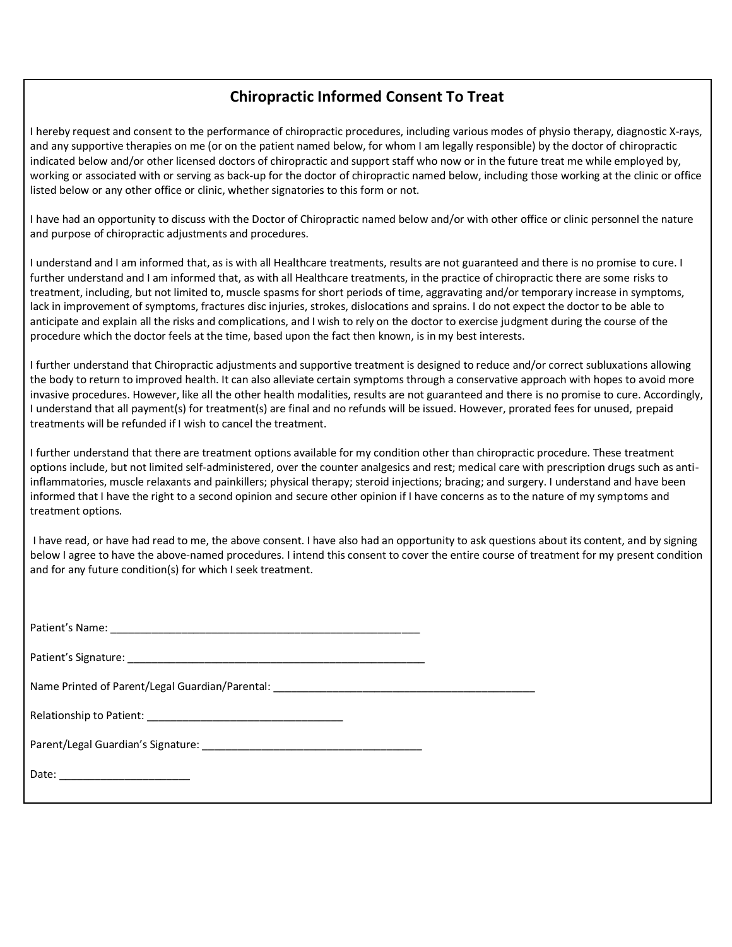### **Chiropractic Informed Consent To Treat**

I hereby request and consent to the performance of chiropractic procedures, including various modes of physio therapy, diagnostic X-rays, and any supportive therapies on me (or on the patient named below, for whom I am legally responsible) by the doctor of chiropractic indicated below and/or other licensed doctors of chiropractic and support staff who now or in the future treat me while employed by, working or associated with or serving as back-up for the doctor of chiropractic named below, including those working at the clinic or office listed below or any other office or clinic, whether signatories to this form or not.

I have had an opportunity to discuss with the Doctor of Chiropractic named below and/or with other office or clinic personnel the nature and purpose of chiropractic adjustments and procedures.

I understand and I am informed that, as is with all Healthcare treatments, results are not guaranteed and there is no promise to cure. I further understand and I am informed that, as with all Healthcare treatments, in the practice of chiropractic there are some risks to treatment, including, but not limited to, muscle spasms for short periods of time, aggravating and/or temporary increase in symptoms, lack in improvement of symptoms, fractures disc injuries, strokes, dislocations and sprains. I do not expect the doctor to be able to anticipate and explain all the risks and complications, and I wish to rely on the doctor to exercise judgment during the course of the procedure which the doctor feels at the time, based upon the fact then known, is in my best interests.

I further understand that Chiropractic adjustments and supportive treatment is designed to reduce and/or correct subluxations allowing the body to return to improved health. It can also alleviate certain symptoms through a conservative approach with hopes to avoid more invasive procedures. However, like all the other health modalities, results are not guaranteed and there is no promise to cure. Accordingly, I understand that all payment(s) for treatment(s) are final and no refunds will be issued. However, prorated fees for unused, prepaid treatments will be refunded if I wish to cancel the treatment.

I further understand that there are treatment options available for my condition other than chiropractic procedure. These treatment options include, but not limited self-administered, over the counter analgesics and rest; medical care with prescription drugs such as antiinflammatories, muscle relaxants and painkillers; physical therapy; steroid injections; bracing; and surgery. I understand and have been informed that I have the right to a second opinion and secure other opinion if I have concerns as to the nature of my symptoms and treatment options.

I have read, or have had read to me, the above consent. I have also had an opportunity to ask questions about its content, and by signing below I agree to have the above-named procedures. I intend this consent to cover the entire course of treatment for my present condition and for any future condition(s) for which I seek treatment.

| Name Printed of Parent/Legal Guardian/Parental: _________________________________ |  |
|-----------------------------------------------------------------------------------|--|
|                                                                                   |  |
|                                                                                   |  |
|                                                                                   |  |
|                                                                                   |  |